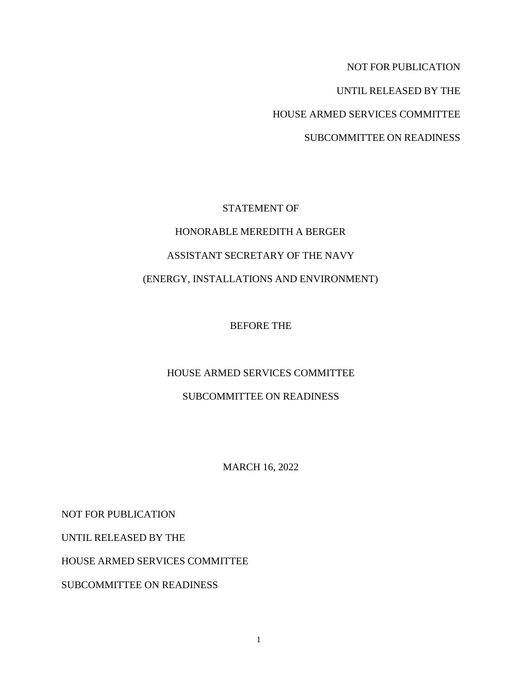NOT FOR PUBLICATION

UNTIL RELEASED BY THE

HOUSE ARMED SERVICES COMMITTEE

SUBCOMMITTEE ON READINESS

# STATEMENT OF HONORABLE MEREDITH A BERGER ASSISTANT SECRETARY OF THE NAVY (ENERGY, INSTALLATIONS AND ENVIRONMENT)

BEFORE THE

# HOUSE ARMED SERVICES COMMITTEE

# SUBCOMMITTEE ON READINESS

MARCH 16, 2022

NOT FOR PUBLICATION

UNTIL RELEASED BY THE

HOUSE ARMED SERVICES COMMITTEE

SUBCOMMITTEE ON READINESS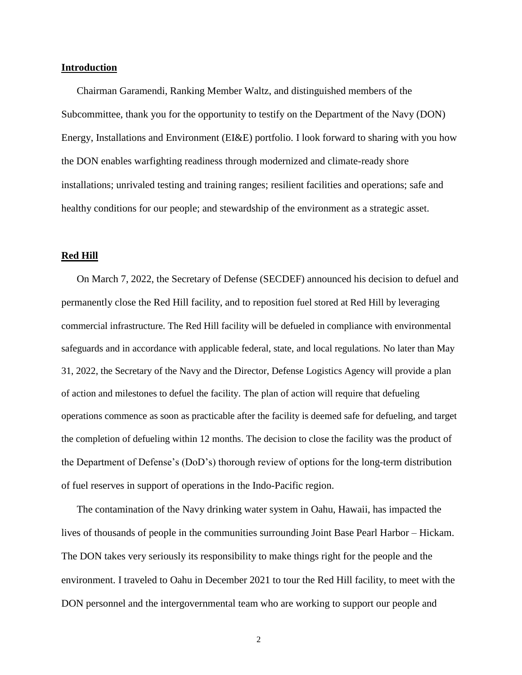#### **Introduction**

Chairman Garamendi, Ranking Member Waltz, and distinguished members of the Subcommittee, thank you for the opportunity to testify on the Department of the Navy (DON) Energy, Installations and Environment (EI&E) portfolio. I look forward to sharing with you how the DON enables warfighting readiness through modernized and climate-ready shore installations; unrivaled testing and training ranges; resilient facilities and operations; safe and healthy conditions for our people; and stewardship of the environment as a strategic asset.

#### **Red Hill**

On March 7, 2022, the Secretary of Defense (SECDEF) announced his decision to defuel and permanently close the Red Hill facility, and to reposition fuel stored at Red Hill by leveraging commercial infrastructure. The Red Hill facility will be defueled in compliance with environmental safeguards and in accordance with applicable federal, state, and local regulations. No later than May 31, 2022, the Secretary of the Navy and the Director, Defense Logistics Agency will provide a plan of action and milestones to defuel the facility. The plan of action will require that defueling operations commence as soon as practicable after the facility is deemed safe for defueling, and target the completion of defueling within 12 months. The decision to close the facility was the product of the Department of Defense's (DoD's) thorough review of options for the long-term distribution of fuel reserves in support of operations in the Indo-Pacific region.

The contamination of the Navy drinking water system in Oahu, Hawaii, has impacted the lives of thousands of people in the communities surrounding Joint Base Pearl Harbor – Hickam. The DON takes very seriously its responsibility to make things right for the people and the environment. I traveled to Oahu in December 2021 to tour the Red Hill facility, to meet with the DON personnel and the intergovernmental team who are working to support our people and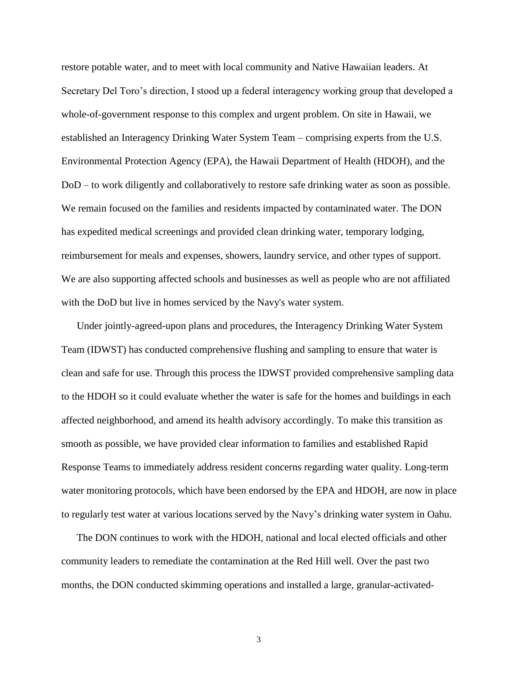restore potable water, and to meet with local community and Native Hawaiian leaders. At Secretary Del Toro's direction, I stood up a federal interagency working group that developed a whole-of-government response to this complex and urgent problem. On site in Hawaii, we established an Interagency Drinking Water System Team – comprising experts from the U.S. Environmental Protection Agency (EPA), the Hawaii Department of Health (HDOH), and the DoD – to work diligently and collaboratively to restore safe drinking water as soon as possible. We remain focused on the families and residents impacted by contaminated water. The DON has expedited medical screenings and provided clean drinking water, temporary lodging, reimbursement for meals and expenses, showers, laundry service, and other types of support. We are also supporting affected schools and businesses as well as people who are not affiliated with the DoD but live in homes serviced by the Navy's water system.

Under jointly-agreed-upon plans and procedures, the Interagency Drinking Water System Team (IDWST) has conducted comprehensive flushing and sampling to ensure that water is clean and safe for use. Through this process the IDWST provided comprehensive sampling data to the HDOH so it could evaluate whether the water is safe for the homes and buildings in each affected neighborhood, and amend its health advisory accordingly. To make this transition as smooth as possible, we have provided clear information to families and established Rapid Response Teams to immediately address resident concerns regarding water quality. Long-term water monitoring protocols, which have been endorsed by the EPA and HDOH, are now in place to regularly test water at various locations served by the Navy's drinking water system in Oahu.

The DON continues to work with the HDOH, national and local elected officials and other community leaders to remediate the contamination at the Red Hill well. Over the past two months, the DON conducted skimming operations and installed a large, granular-activated-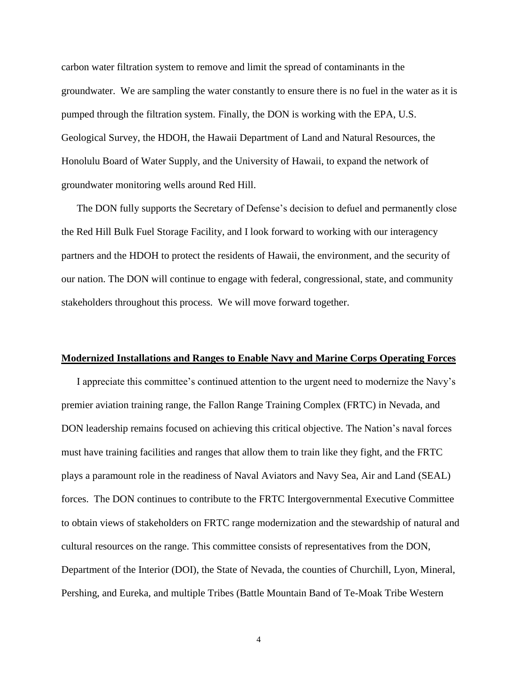carbon water filtration system to remove and limit the spread of contaminants in the groundwater. We are sampling the water constantly to ensure there is no fuel in the water as it is pumped through the filtration system. Finally, the DON is working with the EPA, U.S. Geological Survey, the HDOH, the Hawaii Department of Land and Natural Resources, the Honolulu Board of Water Supply, and the University of Hawaii, to expand the network of groundwater monitoring wells around Red Hill.

The DON fully supports the Secretary of Defense's decision to defuel and permanently close the Red Hill Bulk Fuel Storage Facility, and I look forward to working with our interagency partners and the HDOH to protect the residents of Hawaii, the environment, and the security of our nation. The DON will continue to engage with federal, congressional, state, and community stakeholders throughout this process. We will move forward together.

#### **Modernized Installations and Ranges to Enable Navy and Marine Corps Operating Forces**

I appreciate this committee's continued attention to the urgent need to modernize the Navy's premier aviation training range, the Fallon Range Training Complex (FRTC) in Nevada, and DON leadership remains focused on achieving this critical objective. The Nation's naval forces must have training facilities and ranges that allow them to train like they fight, and the FRTC plays a paramount role in the readiness of Naval Aviators and Navy Sea, Air and Land (SEAL) forces. The DON continues to contribute to the FRTC Intergovernmental Executive Committee to obtain views of stakeholders on FRTC range modernization and the stewardship of natural and cultural resources on the range. This committee consists of representatives from the DON, Department of the Interior (DOI), the State of Nevada, the counties of Churchill, Lyon, Mineral, Pershing, and Eureka, and multiple Tribes (Battle Mountain Band of Te-Moak Tribe Western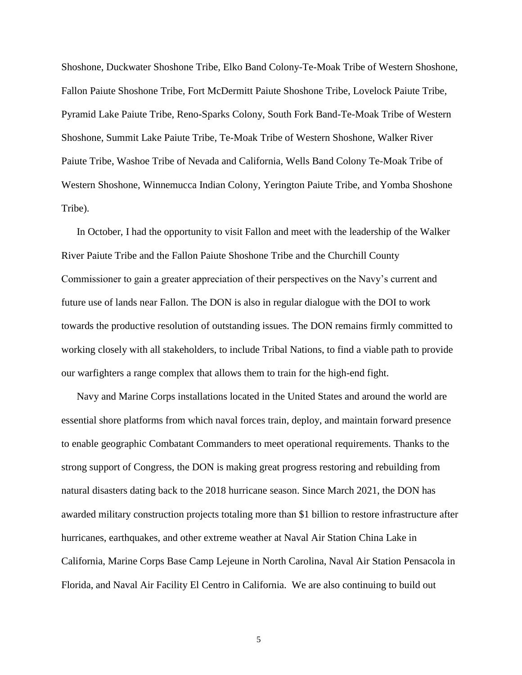Shoshone, Duckwater Shoshone Tribe, Elko Band Colony-Te-Moak Tribe of Western Shoshone, Fallon Paiute Shoshone Tribe, Fort McDermitt Paiute Shoshone Tribe, Lovelock Paiute Tribe, Pyramid Lake Paiute Tribe, Reno-Sparks Colony, South Fork Band-Te-Moak Tribe of Western Shoshone, Summit Lake Paiute Tribe, Te-Moak Tribe of Western Shoshone, Walker River Paiute Tribe, Washoe Tribe of Nevada and California, Wells Band Colony Te-Moak Tribe of Western Shoshone, Winnemucca Indian Colony, Yerington Paiute Tribe, and Yomba Shoshone Tribe).

In October, I had the opportunity to visit Fallon and meet with the leadership of the Walker River Paiute Tribe and the Fallon Paiute Shoshone Tribe and the Churchill County Commissioner to gain a greater appreciation of their perspectives on the Navy's current and future use of lands near Fallon. The DON is also in regular dialogue with the DOI to work towards the productive resolution of outstanding issues. The DON remains firmly committed to working closely with all stakeholders, to include Tribal Nations, to find a viable path to provide our warfighters a range complex that allows them to train for the high-end fight.

Navy and Marine Corps installations located in the United States and around the world are essential shore platforms from which naval forces train, deploy, and maintain forward presence to enable geographic Combatant Commanders to meet operational requirements. Thanks to the strong support of Congress, the DON is making great progress restoring and rebuilding from natural disasters dating back to the 2018 hurricane season. Since March 2021, the DON has awarded military construction projects totaling more than \$1 billion to restore infrastructure after hurricanes, earthquakes, and other extreme weather at Naval Air Station China Lake in California, Marine Corps Base Camp Lejeune in North Carolina, Naval Air Station Pensacola in Florida, and Naval Air Facility El Centro in California. We are also continuing to build out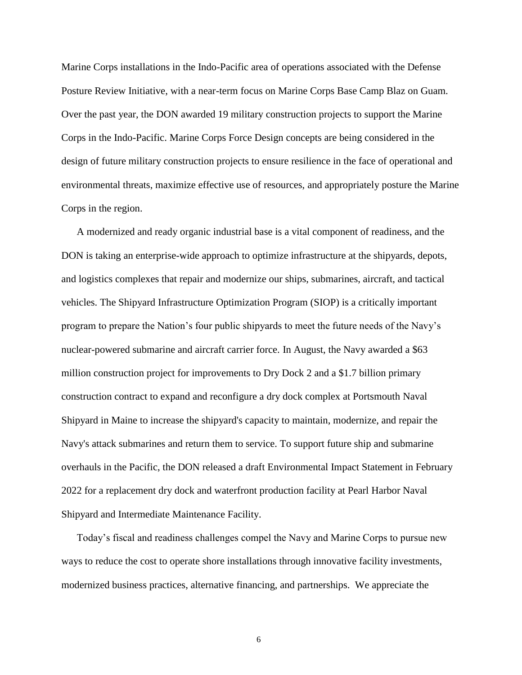Marine Corps installations in the Indo-Pacific area of operations associated with the Defense Posture Review Initiative, with a near-term focus on Marine Corps Base Camp Blaz on Guam. Over the past year, the DON awarded 19 military construction projects to support the Marine Corps in the Indo-Pacific. Marine Corps Force Design concepts are being considered in the design of future military construction projects to ensure resilience in the face of operational and environmental threats, maximize effective use of resources, and appropriately posture the Marine Corps in the region.

A modernized and ready organic industrial base is a vital component of readiness, and the DON is taking an enterprise-wide approach to optimize infrastructure at the shipyards, depots, and logistics complexes that repair and modernize our ships, submarines, aircraft, and tactical vehicles. The Shipyard Infrastructure Optimization Program (SIOP) is a critically important program to prepare the Nation's four public shipyards to meet the future needs of the Navy's nuclear-powered submarine and aircraft carrier force. In August, the Navy awarded a \$63 million construction project for improvements to Dry Dock 2 and a \$1.7 billion primary construction contract to expand and reconfigure a dry dock complex at Portsmouth Naval Shipyard in Maine to increase the shipyard's capacity to maintain, modernize, and repair the Navy's attack submarines and return them to service. To support future ship and submarine overhauls in the Pacific, the DON released a draft Environmental Impact Statement in February 2022 for a replacement dry dock and waterfront production facility at Pearl Harbor Naval Shipyard and Intermediate Maintenance Facility.

Today's fiscal and readiness challenges compel the Navy and Marine Corps to pursue new ways to reduce the cost to operate shore installations through innovative facility investments, modernized business practices, alternative financing, and partnerships. We appreciate the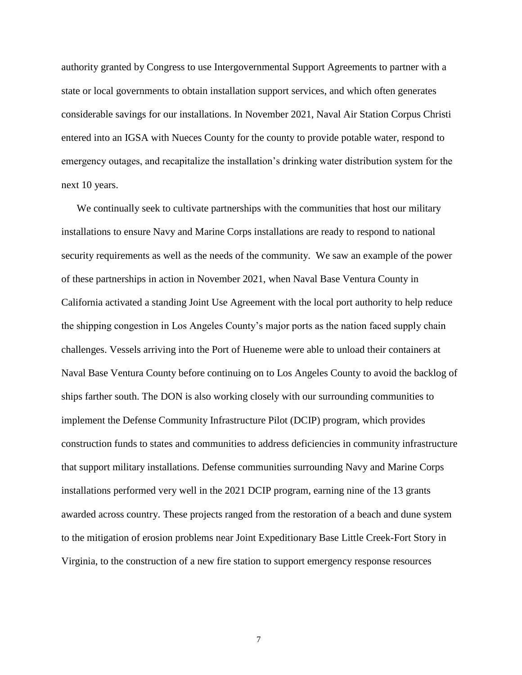authority granted by Congress to use Intergovernmental Support Agreements to partner with a state or local governments to obtain installation support services, and which often generates considerable savings for our installations. In November 2021, Naval Air Station Corpus Christi entered into an IGSA with Nueces County for the county to provide potable water, respond to emergency outages, and recapitalize the installation's drinking water distribution system for the next 10 years.

We continually seek to cultivate partnerships with the communities that host our military installations to ensure Navy and Marine Corps installations are ready to respond to national security requirements as well as the needs of the community. We saw an example of the power of these partnerships in action in November 2021, when Naval Base Ventura County in California activated a standing Joint Use Agreement with the local port authority to help reduce the shipping congestion in Los Angeles County's major ports as the nation faced supply chain challenges. Vessels arriving into the Port of Hueneme were able to unload their containers at Naval Base Ventura County before continuing on to Los Angeles County to avoid the backlog of ships farther south. The DON is also working closely with our surrounding communities to implement the Defense Community Infrastructure Pilot (DCIP) program, which provides construction funds to states and communities to address deficiencies in community infrastructure that support military installations. Defense communities surrounding Navy and Marine Corps installations performed very well in the 2021 DCIP program, earning nine of the 13 grants awarded across country. These projects ranged from the restoration of a beach and dune system to the mitigation of erosion problems near Joint Expeditionary Base Little Creek-Fort Story in Virginia, to the construction of a new fire station to support emergency response resources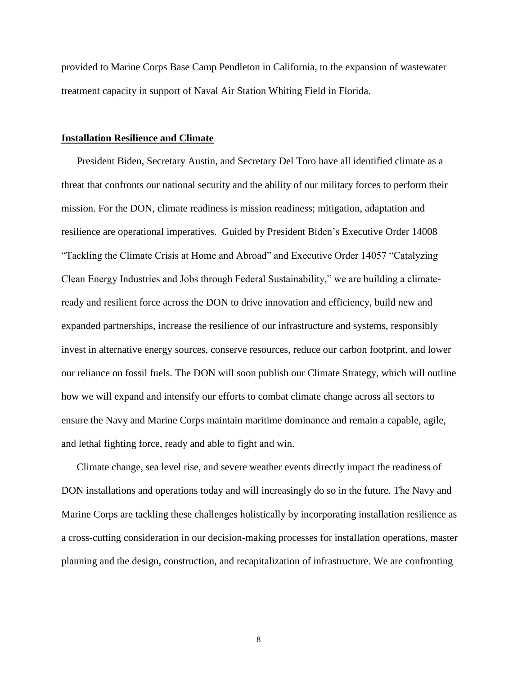provided to Marine Corps Base Camp Pendleton in California, to the expansion of wastewater treatment capacity in support of Naval Air Station Whiting Field in Florida.

#### **Installation Resilience and Climate**

President Biden, Secretary Austin, and Secretary Del Toro have all identified climate as a threat that confronts our national security and the ability of our military forces to perform their mission. For the DON, climate readiness is mission readiness; mitigation, adaptation and resilience are operational imperatives. Guided by President Biden's Executive Order 14008 "Tackling the Climate Crisis at Home and Abroad" and Executive Order 14057 "Catalyzing Clean Energy Industries and Jobs through Federal Sustainability," we are building a climateready and resilient force across the DON to drive innovation and efficiency, build new and expanded partnerships, increase the resilience of our infrastructure and systems, responsibly invest in alternative energy sources, conserve resources, reduce our carbon footprint, and lower our reliance on fossil fuels. The DON will soon publish our Climate Strategy, which will outline how we will expand and intensify our efforts to combat climate change across all sectors to ensure the Navy and Marine Corps maintain maritime dominance and remain a capable, agile, and lethal fighting force, ready and able to fight and win.

Climate change, sea level rise, and severe weather events directly impact the readiness of DON installations and operations today and will increasingly do so in the future. The Navy and Marine Corps are tackling these challenges holistically by incorporating installation resilience as a cross-cutting consideration in our decision-making processes for installation operations, master planning and the design, construction, and recapitalization of infrastructure. We are confronting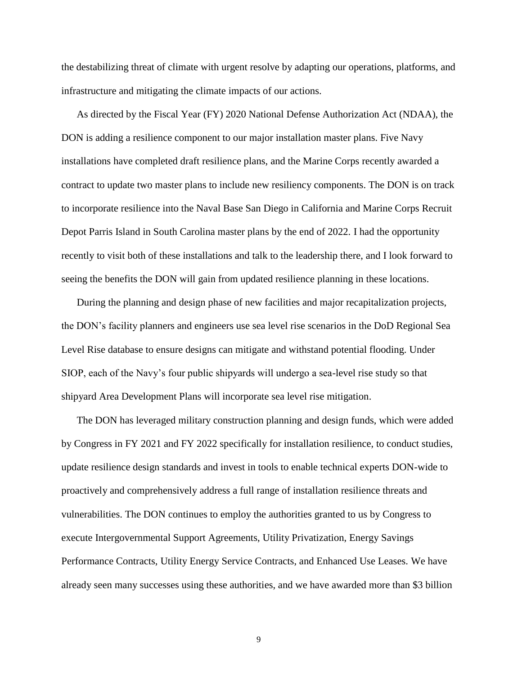the destabilizing threat of climate with urgent resolve by adapting our operations, platforms, and infrastructure and mitigating the climate impacts of our actions.

As directed by the Fiscal Year (FY) 2020 National Defense Authorization Act (NDAA), the DON is adding a resilience component to our major installation master plans. Five Navy installations have completed draft resilience plans, and the Marine Corps recently awarded a contract to update two master plans to include new resiliency components. The DON is on track to incorporate resilience into the Naval Base San Diego in California and Marine Corps Recruit Depot Parris Island in South Carolina master plans by the end of 2022. I had the opportunity recently to visit both of these installations and talk to the leadership there, and I look forward to seeing the benefits the DON will gain from updated resilience planning in these locations.

During the planning and design phase of new facilities and major recapitalization projects, the DON's facility planners and engineers use sea level rise scenarios in the DoD Regional Sea Level Rise database to ensure designs can mitigate and withstand potential flooding. Under SIOP, each of the Navy's four public shipyards will undergo a sea-level rise study so that shipyard Area Development Plans will incorporate sea level rise mitigation.

The DON has leveraged military construction planning and design funds, which were added by Congress in FY 2021 and FY 2022 specifically for installation resilience, to conduct studies, update resilience design standards and invest in tools to enable technical experts DON-wide to proactively and comprehensively address a full range of installation resilience threats and vulnerabilities. The DON continues to employ the authorities granted to us by Congress to execute Intergovernmental Support Agreements, Utility Privatization, Energy Savings Performance Contracts, Utility Energy Service Contracts, and Enhanced Use Leases. We have already seen many successes using these authorities, and we have awarded more than \$3 billion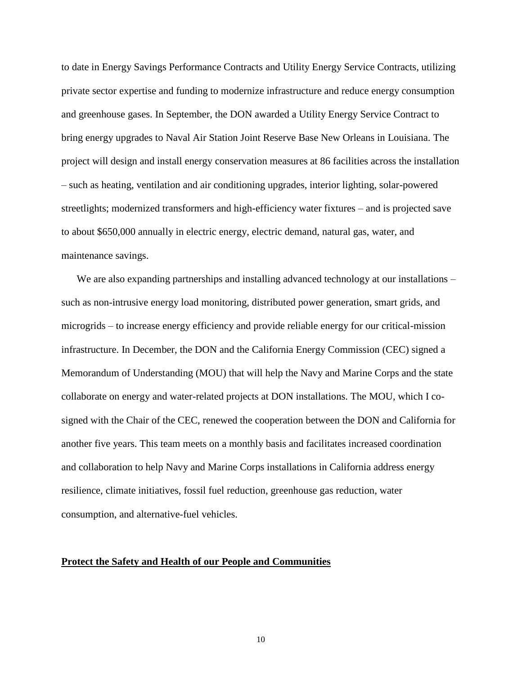to date in Energy Savings Performance Contracts and Utility Energy Service Contracts, utilizing private sector expertise and funding to modernize infrastructure and reduce energy consumption and greenhouse gases. In September, the DON awarded a Utility Energy Service Contract to bring energy upgrades to Naval Air Station Joint Reserve Base New Orleans in Louisiana. The project will design and install energy conservation measures at 86 facilities across the installation – such as heating, ventilation and air conditioning upgrades, interior lighting, solar-powered streetlights; modernized transformers and high-efficiency water fixtures – and is projected save to about \$650,000 annually in electric energy, electric demand, natural gas, water, and maintenance savings.

We are also expanding partnerships and installing advanced technology at our installations – such as non-intrusive energy load monitoring, distributed power generation, smart grids, and microgrids – to increase energy efficiency and provide reliable energy for our critical-mission infrastructure. In December, the DON and the California Energy Commission (CEC) signed a Memorandum of Understanding (MOU) that will help the Navy and Marine Corps and the state collaborate on energy and water-related projects at DON installations. The MOU, which I cosigned with the Chair of the CEC, renewed the cooperation between the DON and California for another five years. This team meets on a monthly basis and facilitates increased coordination and collaboration to help Navy and Marine Corps installations in California address energy resilience, climate initiatives, fossil fuel reduction, greenhouse gas reduction, water consumption, and alternative-fuel vehicles.

### **Protect the Safety and Health of our People and Communities**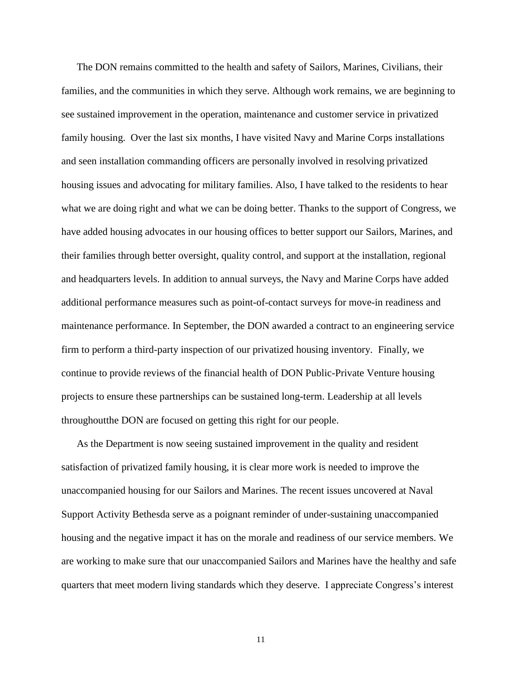The DON remains committed to the health and safety of Sailors, Marines, Civilians, their families, and the communities in which they serve. Although work remains, we are beginning to see sustained improvement in the operation, maintenance and customer service in privatized family housing. Over the last six months, I have visited Navy and Marine Corps installations and seen installation commanding officers are personally involved in resolving privatized housing issues and advocating for military families. Also, I have talked to the residents to hear what we are doing right and what we can be doing better. Thanks to the support of Congress, we have added housing advocates in our housing offices to better support our Sailors, Marines, and their families through better oversight, quality control, and support at the installation, regional and headquarters levels. In addition to annual surveys, the Navy and Marine Corps have added additional performance measures such as point-of-contact surveys for move-in readiness and maintenance performance. In September, the DON awarded a contract to an engineering service firm to perform a third-party inspection of our privatized housing inventory. Finally, we continue to provide reviews of the financial health of DON Public-Private Venture housing projects to ensure these partnerships can be sustained long-term. Leadership at all levels throughoutthe DON are focused on getting this right for our people.

As the Department is now seeing sustained improvement in the quality and resident satisfaction of privatized family housing, it is clear more work is needed to improve the unaccompanied housing for our Sailors and Marines. The recent issues uncovered at Naval Support Activity Bethesda serve as a poignant reminder of under-sustaining unaccompanied housing and the negative impact it has on the morale and readiness of our service members. We are working to make sure that our unaccompanied Sailors and Marines have the healthy and safe quarters that meet modern living standards which they deserve. I appreciate Congress's interest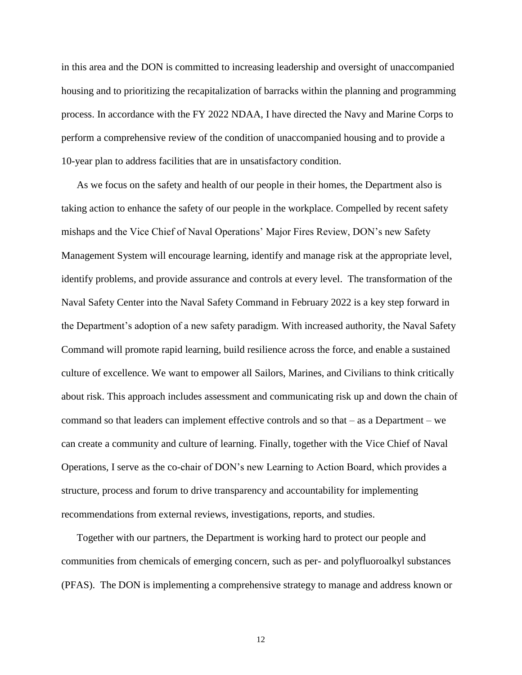in this area and the DON is committed to increasing leadership and oversight of unaccompanied housing and to prioritizing the recapitalization of barracks within the planning and programming process. In accordance with the FY 2022 NDAA, I have directed the Navy and Marine Corps to perform a comprehensive review of the condition of unaccompanied housing and to provide a 10-year plan to address facilities that are in unsatisfactory condition.

As we focus on the safety and health of our people in their homes, the Department also is taking action to enhance the safety of our people in the workplace. Compelled by recent safety mishaps and the Vice Chief of Naval Operations' Major Fires Review, DON's new Safety Management System will encourage learning, identify and manage risk at the appropriate level, identify problems, and provide assurance and controls at every level. The transformation of the Naval Safety Center into the Naval Safety Command in February 2022 is a key step forward in the Department's adoption of a new safety paradigm. With increased authority, the Naval Safety Command will promote rapid learning, build resilience across the force, and enable a sustained culture of excellence. We want to empower all Sailors, Marines, and Civilians to think critically about risk. This approach includes assessment and communicating risk up and down the chain of command so that leaders can implement effective controls and so that – as a Department – we can create a community and culture of learning. Finally, together with the Vice Chief of Naval Operations, I serve as the co-chair of DON's new Learning to Action Board, which provides a structure, process and forum to drive transparency and accountability for implementing recommendations from external reviews, investigations, reports, and studies.

Together with our partners, the Department is working hard to protect our people and communities from chemicals of emerging concern, such as per- and polyfluoroalkyl substances (PFAS). The DON is implementing a comprehensive strategy to manage and address known or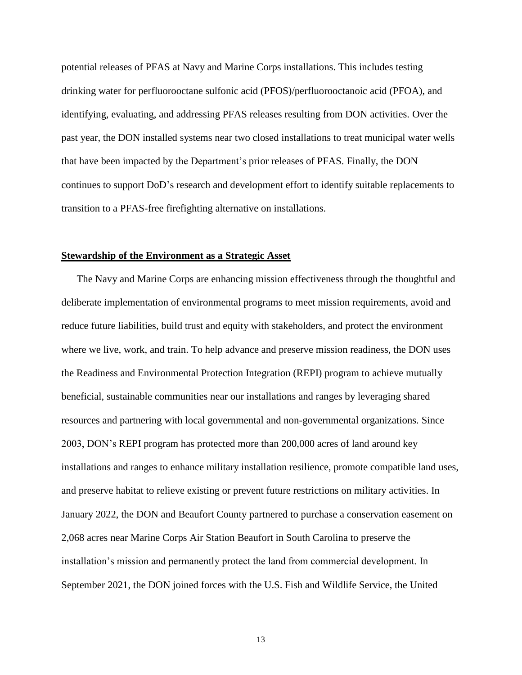potential releases of PFAS at Navy and Marine Corps installations. This includes testing drinking water for perfluorooctane sulfonic acid (PFOS)/perfluorooctanoic acid (PFOA), and identifying, evaluating, and addressing PFAS releases resulting from DON activities. Over the past year, the DON installed systems near two closed installations to treat municipal water wells that have been impacted by the Department's prior releases of PFAS. Finally, the DON continues to support DoD's research and development effort to identify suitable replacements to transition to a PFAS-free firefighting alternative on installations.

## **Stewardship of the Environment as a Strategic Asset**

The Navy and Marine Corps are enhancing mission effectiveness through the thoughtful and deliberate implementation of environmental programs to meet mission requirements, avoid and reduce future liabilities, build trust and equity with stakeholders, and protect the environment where we live, work, and train. To help advance and preserve mission readiness, the DON uses the Readiness and Environmental Protection Integration (REPI) program to achieve mutually beneficial, sustainable communities near our installations and ranges by leveraging shared resources and partnering with local governmental and non-governmental organizations. Since 2003, DON's REPI program has protected more than 200,000 acres of land around key installations and ranges to enhance military installation resilience, promote compatible land uses, and preserve habitat to relieve existing or prevent future restrictions on military activities. In January 2022, the DON and Beaufort County partnered to purchase a conservation easement on 2,068 acres near Marine Corps Air Station Beaufort in South Carolina to preserve the installation's mission and permanently protect the land from commercial development. In September 2021, the DON joined forces with the U.S. Fish and Wildlife Service, the United